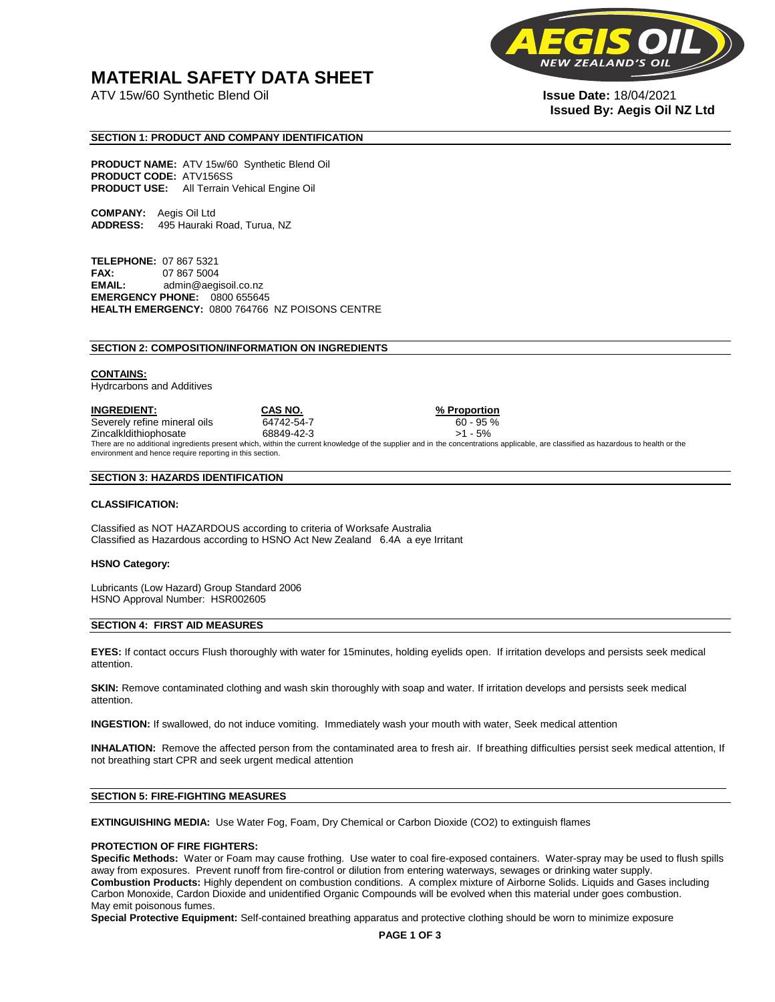## **MATERIAL SAFETY DATA SHEET**

ATV 15w/60 Synthetic Blend Oil **Issue Date:** 18/04/2021



# **Issued By: Aegis Oil NZ Ltd**

#### **SECTION 1: PRODUCT AND COMPANY IDENTIFICATION**

**PRODUCT NAME:** ATV 15w/60 Synthetic Blend Oil **PRODUCT CODE:** ATV156SS **PRODUCT USE:** All Terrain Vehical Engine Oil

**COMPANY:** Aegis Oil Ltd **ADDRESS:** 495 Hauraki Road, Turua, NZ

**TELEPHONE:** 07 867 5321 **FAX:** 07 867 5004 **EMAIL:** admin@aegisoil.co.nz **EMERGENCY PHONE:** 0800 655645 **HEALTH EMERGENCY:** 0800 764766 NZ POISONS CENTRE

#### **SECTION 2: COMPOSITION/INFORMATION ON INGREDIENTS**

#### **CONTAINS:**

Hydrcarbons and Additives

**INGREDIENT: CAS NO. % Proportion**  Severely refine mineral oils 64742-54-7 60 - 95 % Zincalkldithiophosate 68849-42-3 >1 - 5% There are no additional ingredients present which, within the current knowledge of the supplier and in the concentrations applicable, are classified as hazardous to health or the environment and hence require reporting in this section.

#### **SECTION 3: HAZARDS IDENTIFICATION**

#### **CLASSIFICATION:**

Classified as NOT HAZARDOUS according to criteria of Worksafe Australia Classified as Hazardous according to HSNO Act New Zealand 6.4A a eye Irritant

#### **HSNO Category:**

Lubricants (Low Hazard) Group Standard 2006 HSNO Approval Number: HSR002605

#### **SECTION 4: FIRST AID MEASURES**

**EYES:** If contact occurs Flush thoroughly with water for 15minutes, holding eyelids open. If irritation develops and persists seek medical attention.

**SKIN:** Remove contaminated clothing and wash skin thoroughly with soap and water. If irritation develops and persists seek medical attention.

**INGESTION:** If swallowed, do not induce vomiting. Immediately wash your mouth with water, Seek medical attention

**INHALATION:** Remove the affected person from the contaminated area to fresh air. If breathing difficulties persist seek medical attention, If not breathing start CPR and seek urgent medical attention

#### **SECTION 5: FIRE-FIGHTING MEASURES**

**EXTINGUISHING MEDIA:** Use Water Fog, Foam, Dry Chemical or Carbon Dioxide (CO2) to extinguish flames

#### **PROTECTION OF FIRE FIGHTERS:**

**Specific Methods:** Water or Foam may cause frothing. Use water to coal fire-exposed containers. Water-spray may be used to flush spills away from exposures. Prevent runoff from fire-control or dilution from entering waterways, sewages or drinking water supply. **Combustion Products:** Highly dependent on combustion conditions. A complex mixture of Airborne Solids. Liquids and Gases including Carbon Monoxide, Cardon Dioxide and unidentified Organic Compounds will be evolved when this material under goes combustion. May emit poisonous fumes.

**Special Protective Equipment:** Self-contained breathing apparatus and protective clothing should be worn to minimize exposure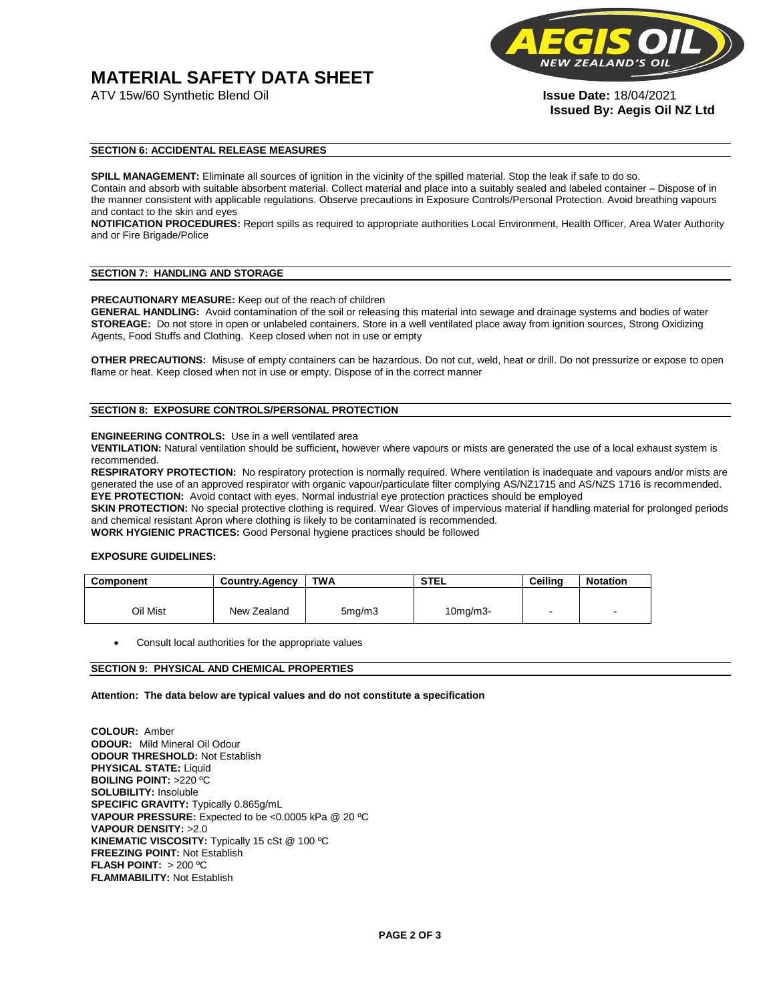# **MATERIAL SAFETY DATA SHEET**

ATV 15w/60 Synthetic Blend Oil **Issue Date:** 18/04/2021



**Issued By: Aegis Oil NZ Ltd** 

#### **SECTION 6: ACCIDENTAL RELEASE MEASURES**

**SPILL MANAGEMENT:** Eliminate all sources of ignition in the vicinity of the spilled material. Stop the leak if safe to do so. Contain and absorb with suitable absorbent material. Collect material and place into a suitably sealed and labeled container – Dispose of in the manner consistent with applicable regulations. Observe precautions in Exposure Controls/Personal Protection. Avoid breathing vapours and contact to the skin and eyes

**NOTIFICATION PROCEDURES:** Report spills as required to appropriate authorities Local Environment, Health Officer, Area Water Authority and or Fire Brigade/Police

#### **SECTION 7: HANDLING AND STORAGE**

**PRECAUTIONARY MEASURE:** Keep out of the reach of children

**GENERAL HANDLING:** Avoid contamination of the soil or releasing this material into sewage and drainage systems and bodies of water **STOREAGE:** Do not store in open or unlabeled containers. Store in a well ventilated place away from ignition sources, Strong Oxidizing Agents, Food Stuffs and Clothing. Keep closed when not in use or empty

**OTHER PRECAUTIONS:** Misuse of empty containers can be hazardous. Do not cut, weld, heat or drill. Do not pressurize or expose to open flame or heat. Keep closed when not in use or empty. Dispose of in the correct manner

#### **SECTION 8: EXPOSURE CONTROLS/PERSONAL PROTECTION**

#### **ENGINEERING CONTROLS:** Use in a well ventilated area

**VENTILATION:** Natural ventilation should be sufficient**,** however where vapours or mists are generated the use of a local exhaust system is recommended.

**RESPIRATORY PROTECTION:** No respiratory protection is normally required. Where ventilation is inadequate and vapours and/or mists are generated the use of an approved respirator with organic vapour/particulate filter complying AS/NZ1715 and AS/NZS 1716 is recommended. **EYE PROTECTION:** Avoid contact with eyes. Normal industrial eye protection practices should be employed

**SKIN PROTECTION:** No special protective clothing is required. Wear Gloves of impervious material if handling material for prolonged periods and chemical resistant Apron where clothing is likely to be contaminated is recommended.

**WORK HYGIENIC PRACTICES:** Good Personal hygiene practices should be followed

#### **EXPOSURE GUIDELINES:**

| <b>Component</b> | <b>Country.Agency</b> | <b>TWA</b>          | <b>STEL</b>    | Ceilina | <b>Notation</b>          |
|------------------|-----------------------|---------------------|----------------|---------|--------------------------|
|                  |                       |                     |                |         |                          |
| Oil Mist         | New Zealand           | 5 <sub>mq</sub> /m3 | $10$ mg/m $3-$ |         | $\overline{\phantom{a}}$ |

Consult local authorities for the appropriate values

#### **SECTION 9: PHYSICAL AND CHEMICAL PROPERTIES**

**Attention: The data below are typical values and do not constitute a specification** 

**COLOUR:** Amber **ODOUR:** Mild Mineral Oil Odour **ODOUR THRESHOLD:** Not Establish **PHYSICAL STATE:** Liquid **BOILING POINT:** >220 ºC **SOLUBILITY:** Insoluble **SPECIFIC GRAVITY:** Typically 0.865g/mL **VAPOUR PRESSURE:** Expected to be <0.0005 kPa @ 20 ºC **VAPOUR DENSITY:** >2.0 **KINEMATIC VISCOSITY:** Typically 15 cSt @ 100 ºC **FREEZING POINT: Not Establish FLASH POINT:** > 200 ºC **FLAMMABILITY:** Not Establish